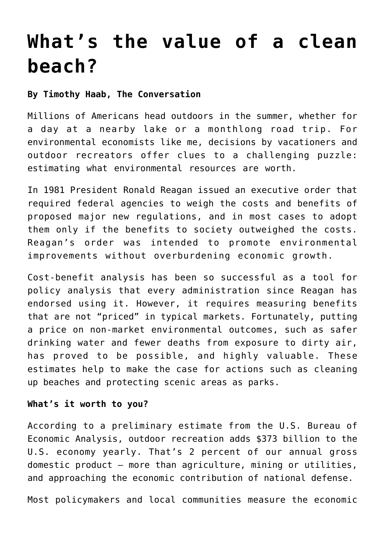# **[What's the value of a clean](https://www.laketahoenews.net/2018/07/whats-the-value-of-a-clean-beach/) [beach?](https://www.laketahoenews.net/2018/07/whats-the-value-of-a-clean-beach/)**

## **By Timothy Haab, The Conversation**

Millions of Americans head outdoors in the summer, whether for a day at a nearby lake or a monthlong road trip. For environmental economists like me, decisions by vacationers and outdoor recreators offer clues to a challenging puzzle: estimating what environmental resources are worth.

In 1981 President Ronald Reagan issued an executive order that required federal agencies to weigh the costs and benefits of proposed major new regulations, and in most cases to adopt them only if the benefits to society outweighed the costs. Reagan's order was intended to promote environmental improvements without overburdening economic growth.

Cost-benefit analysis has been so successful as a tool for policy analysis that every administration since Reagan has endorsed using it. However, it requires measuring benefits that are not "priced" in typical markets. Fortunately, putting a price on non-market environmental outcomes, such as safer drinking water and fewer deaths from exposure to dirty air, has proved to be possible, and highly valuable. These estimates help to make the case for actions such as cleaning up beaches and protecting scenic areas as parks.

#### **What's it worth to you?**

According to a preliminary estimate from the U.S. Bureau of Economic Analysis, outdoor recreation adds \$373 billion to the U.S. economy yearly. That's 2 percent of our annual gross domestic product – more than agriculture, mining or utilities, and approaching the economic contribution of national defense.

Most policymakers and local communities measure the economic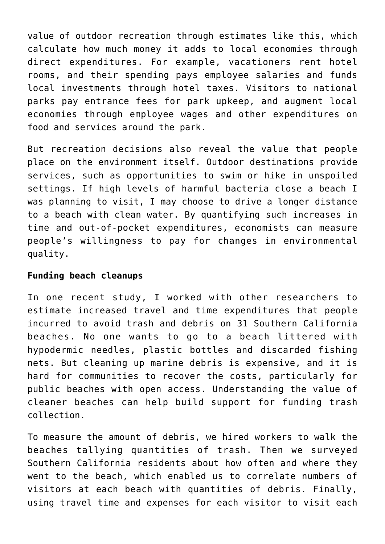value of outdoor recreation through estimates like this, which calculate how much money it adds to local economies through direct expenditures. For example, vacationers rent hotel rooms, and their spending pays employee salaries and funds local investments through hotel taxes. Visitors to national parks pay entrance fees for park upkeep, and augment local economies through employee wages and other expenditures on food and services around the park.

But recreation decisions also reveal the value that people place on the environment itself. Outdoor destinations provide services, such as opportunities to swim or hike in unspoiled settings. If high levels of harmful bacteria close a beach I was planning to visit, I may choose to drive a longer distance to a beach with clean water. By quantifying such increases in time and out-of-pocket expenditures, economists can measure people's willingness to pay for changes in environmental quality.

#### **Funding beach cleanups**

In one recent study, I worked with other researchers to estimate increased travel and time expenditures that people incurred to avoid trash and debris on 31 Southern California beaches. No one wants to go to a beach littered with hypodermic needles, plastic bottles and discarded fishing nets. But cleaning up marine debris is expensive, and it is hard for communities to recover the costs, particularly for public beaches with open access. Understanding the value of cleaner beaches can help build support for funding trash collection.

To measure the amount of debris, we hired workers to walk the beaches tallying quantities of trash. Then we surveyed Southern California residents about how often and where they went to the beach, which enabled us to correlate numbers of visitors at each beach with quantities of debris. Finally, using travel time and expenses for each visitor to visit each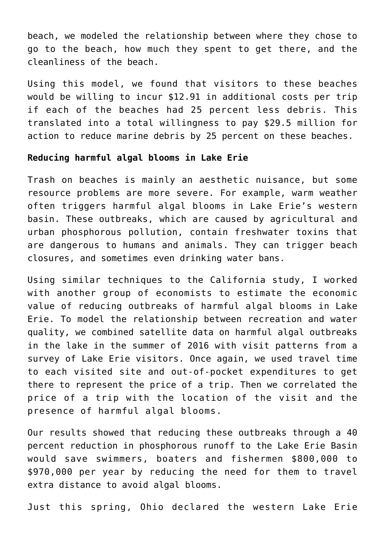beach, we modeled the relationship between where they chose to go to the beach, how much they spent to get there, and the cleanliness of the beach.

Using this model, we found that visitors to these beaches would be willing to incur \$12.91 in additional costs per trip if each of the beaches had 25 percent less debris. This translated into a total willingness to pay \$29.5 million for action to reduce marine debris by 25 percent on these beaches.

#### **Reducing harmful algal blooms in Lake Erie**

Trash on beaches is mainly an aesthetic nuisance, but some resource problems are more severe. For example, warm weather often triggers harmful algal blooms in Lake Erie's western basin. These outbreaks, which are caused by agricultural and urban phosphorous pollution, contain freshwater toxins that are dangerous to humans and animals. They can trigger beach closures, and sometimes even drinking water bans.

Using similar techniques to the California study, I worked with another group of economists to estimate the economic value of reducing outbreaks of harmful algal blooms in Lake Erie. To model the relationship between recreation and water quality, we combined satellite data on harmful algal outbreaks in the lake in the summer of 2016 with visit patterns from a survey of Lake Erie visitors. Once again, we used travel time to each visited site and out-of-pocket expenditures to get there to represent the price of a trip. Then we correlated the price of a trip with the location of the visit and the presence of harmful algal blooms.

Our results showed that reducing these outbreaks through a 40 percent reduction in phosphorous runoff to the Lake Erie Basin would save swimmers, boaters and fishermen \$800,000 to \$970,000 per year by reducing the need for them to travel extra distance to avoid algal blooms.

Just this spring, Ohio declared the western Lake Erie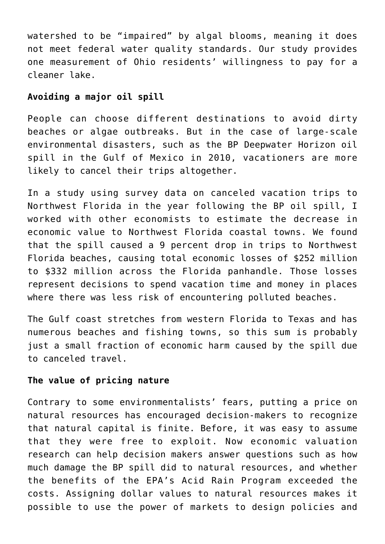watershed to be "impaired" by algal blooms, meaning it does not meet federal water quality standards. Our study provides one measurement of Ohio residents' willingness to pay for a cleaner lake.

### **Avoiding a major oil spill**

People can choose different destinations to avoid dirty beaches or algae outbreaks. But in the case of large-scale environmental disasters, such as the BP Deepwater Horizon oil spill in the Gulf of Mexico in 2010, vacationers are more likely to cancel their trips altogether.

In a study using survey data on canceled vacation trips to Northwest Florida in the year following the BP oil spill, I worked with other economists to estimate the decrease in economic value to Northwest Florida coastal towns. We found that the spill caused a 9 percent drop in trips to Northwest Florida beaches, causing total economic losses of \$252 million to \$332 million across the Florida panhandle. Those losses represent decisions to spend vacation time and money in places where there was less risk of encountering polluted beaches.

The Gulf coast stretches from western Florida to Texas and has numerous beaches and fishing towns, so this sum is probably just a small fraction of economic harm caused by the spill due to canceled travel.

#### **The value of pricing nature**

Contrary to some environmentalists' fears, putting a price on natural resources has encouraged decision-makers to recognize that natural capital is finite. Before, it was easy to assume that they were free to exploit. Now economic valuation research can help decision makers answer questions such as how much damage the BP spill did to natural resources, and whether the benefits of the EPA's Acid Rain Program exceeded the costs. Assigning dollar values to natural resources makes it possible to use the power of markets to design policies and